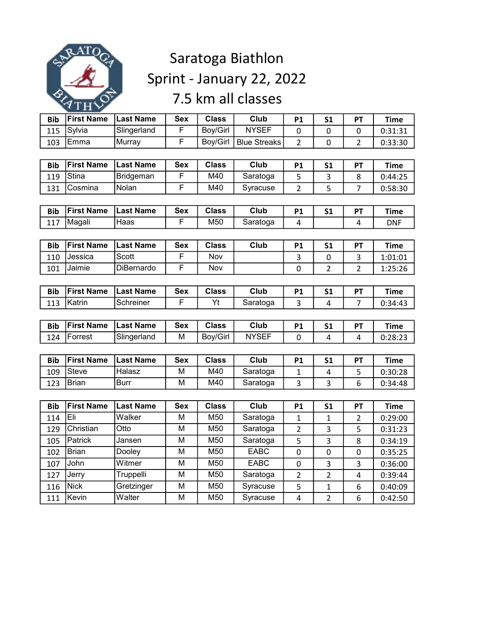

## Saratoga Biathlon Sprint - January 22, 2022 7.5 km all classes

| <b>Bib</b> | <b>First Name</b> | <b>Last Name</b> | <b>Sex</b> | <b>Class</b> | <b>Club</b>         | <b>P1</b>      | S <sub>1</sub> | PT             | <b>Time</b> |
|------------|-------------------|------------------|------------|--------------|---------------------|----------------|----------------|----------------|-------------|
| 115        | Sylvia            | Slingerland      | F          | Boy/Girl     | <b>NYSEF</b>        | 0              | 0              | 0              | 0:31:31     |
| 103        | Emma              | Murray           | F          | Boy/Girl     | <b>Blue Streaks</b> | $\overline{2}$ | $\mathbf 0$    | $\overline{2}$ | 0:33:30     |
|            |                   |                  |            |              |                     |                |                |                |             |
| <b>Bib</b> | <b>First Name</b> | <b>Last Name</b> | <b>Sex</b> | <b>Class</b> | <b>Club</b>         | P1             | S <sub>1</sub> | PT             | <b>Time</b> |
| 119        | Stina             | <b>Bridgeman</b> | F          | M40          | Saratoga            | 5              | 3              | 8              | 0:44:25     |
| 131        | Cosmina           | Nolan            | F          | M40          | Syracuse            | $\overline{2}$ | 5              | $\overline{7}$ | 0:58:30     |
|            |                   |                  |            |              |                     |                |                |                |             |
| <b>Bib</b> | <b>First Name</b> | <b>Last Name</b> | <b>Sex</b> | <b>Class</b> | Club                | P1             | S <sub>1</sub> | PT             | <b>Time</b> |
| 117        | Magali            | Haas             | F          | M50          | Saratoga            | 4              |                | 4              | <b>DNF</b>  |
|            |                   |                  |            |              |                     |                |                |                |             |
| <b>Bib</b> | <b>First Name</b> | <b>Last Name</b> | <b>Sex</b> | <b>Class</b> | Club                | P1             | S <sub>1</sub> | PT             | <b>Time</b> |
| 110        | Jessica           | Scott            | F          | Nov          |                     | 3              | 0              | 3              | 1:01:01     |
| 101        | Jaimie            | DiBernardo       | F          | Nov          |                     | $\mathbf 0$    | $\overline{2}$ | $\overline{2}$ | 1:25:26     |
|            |                   |                  |            |              |                     |                |                |                |             |
| <b>Bib</b> | <b>First Name</b> | <b>Last Name</b> | <b>Sex</b> | <b>Class</b> | Club                | P1             | S <sub>1</sub> | PT             | <b>Time</b> |
| 113        | Katrin            | Schreiner        | F          | Yt           | Saratoga            | 3              | 4              | $\overline{7}$ | 0:34:43     |
|            |                   |                  |            |              |                     |                |                |                |             |
| <b>Bib</b> | <b>First Name</b> | <b>Last Name</b> | <b>Sex</b> | <b>Class</b> | Club                | P1             | S <sub>1</sub> | PT             | <b>Time</b> |
| 124        | Forrest           | Slingerland      | М          | Boy/Girl     | <b>NYSEF</b>        | $\overline{0}$ | $\overline{4}$ | 4              | 0:28:23     |
|            |                   |                  |            |              |                     |                |                |                |             |
| <b>Bib</b> | <b>First Name</b> | <b>Last Name</b> | <b>Sex</b> | <b>Class</b> | <b>Club</b>         | P1             | S <sub>1</sub> | PT             | <b>Time</b> |
| 109        | Steve             | Halasz           | М          | M40          | Saratoga            | $\mathbf{1}$   | 4              | 5              | 0:30:28     |
| 123        | <b>Brian</b>      | <b>Burr</b>      | M          | M40          | Saratoga            | $\overline{3}$ | 3              | 6              | 0:34:48     |
|            |                   |                  |            |              |                     |                |                |                |             |
| <b>Bib</b> | <b>First Name</b> | <b>Last Name</b> | <b>Sex</b> | <b>Class</b> | Club                | P1             | S <sub>1</sub> | PT             | <b>Time</b> |
| 114        | Eli               | Walker           | M          | M50          | Saratoga            | $\mathbf{1}$   | $\mathbf{1}$   | $\overline{2}$ | 0:29:00     |
| 129        | Christian         | Otto             | M          | M50          | Saratoga            | $\overline{2}$ | 3              | 5              | 0:31:23     |
| 105        | Patrick           | Jansen           | M          | M50          | Saratoga            | 5              | 3              | 8              | 0:34:19     |
| 102        | <b>Brian</b>      | Dooley           | M          | M50          | <b>EABC</b>         | $\mathbf 0$    | $\mathbf 0$    | 0              | 0:35:25     |
| 107        | John              | Witmer           | M          | M50          | <b>EABC</b>         | $\pmb{0}$      | 3              | 3              | 0:36:00     |
| 127        | Jerry             | Truppelli        | M          | M50          | Saratoga            | $\overline{2}$ | $\overline{2}$ | 4              | 0:39:44     |
| 116        | <b>Nick</b>       | Gretzinger       | M          | M50          | Syracuse            | 5              | 1              | 6              | 0:40:09     |
| 111        | Kevin             | Walter           | M          | M50          | Syracuse            | 4              | $\overline{2}$ | 6              | 0:42:50     |